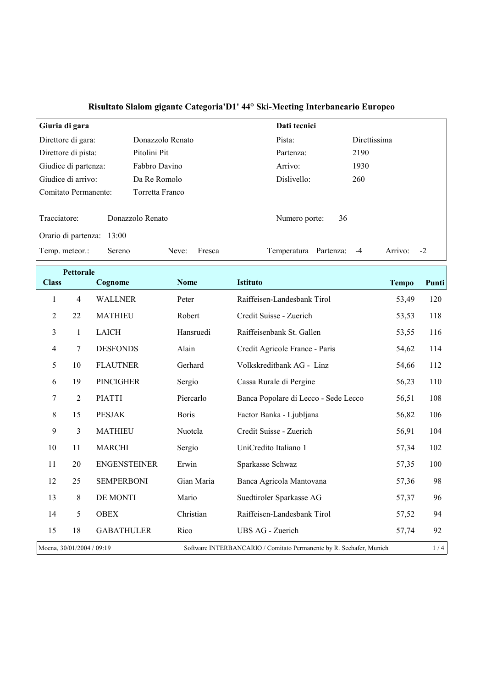| Giuria di gara            |                  | Dati tecnici             |                         |
|---------------------------|------------------|--------------------------|-------------------------|
| Direttore di gara:        | Donazzolo Renato | Pista:                   | Direttissima            |
| Direttore di pista:       | Pitolini Pit     | Partenza:                | 2190                    |
| Giudice di partenza:      | Fabbro Davino    | Arrivo:                  | 1930                    |
| Giudice di arrivo:        | Da Re Romolo     | Dislivello:              | 260                     |
| Comitato Permanente:      | Torretta Franco  |                          |                         |
|                           |                  |                          |                         |
| Tracciatore:              | Donazzolo Renato | 36<br>Numero porte:      |                         |
| Orario di partenza: 13:00 |                  |                          |                         |
| Temp. meteor.:<br>Sereno  | Fresca<br>Neve:  | Partenza:<br>Temperatura | $-2$<br>Arrivo:<br>$-4$ |

| <b>Pettorale</b>                                                                                 |                |                     |              |                                      |              |       |
|--------------------------------------------------------------------------------------------------|----------------|---------------------|--------------|--------------------------------------|--------------|-------|
| <b>Class</b>                                                                                     |                | Cognome             | <b>Nome</b>  | <b>Istituto</b>                      | <b>Tempo</b> | Punti |
| $\mathbf{1}$                                                                                     | $\overline{4}$ | <b>WALLNER</b>      | Peter        | Raiffeisen-Landesbank Tirol          | 53,49        | 120   |
| 2                                                                                                | 22             | <b>MATHIEU</b>      | Robert       | Credit Suisse - Zuerich              | 53,53        | 118   |
| 3                                                                                                | 1              | <b>LAICH</b>        | Hansruedi    | Raiffeisenbank St. Gallen            | 53,55        | 116   |
| 4                                                                                                | 7              | <b>DESFONDS</b>     | Alain        | Credit Agricole France - Paris       | 54,62        | 114   |
| 5                                                                                                | 10             | <b>FLAUTNER</b>     | Gerhard      | Volkskreditbank AG - Linz            | 54,66        | 112   |
| 6                                                                                                | 19             | <b>PINCIGHER</b>    | Sergio       | Cassa Rurale di Pergine              | 56,23        | 110   |
| $\boldsymbol{7}$                                                                                 | $\overline{2}$ | <b>PIATTI</b>       | Piercarlo    | Banca Popolare di Lecco - Sede Lecco | 56,51        | 108   |
| 8                                                                                                | 15             | <b>PESJAK</b>       | <b>Boris</b> | Factor Banka - Ljubljana             | 56,82        | 106   |
| 9                                                                                                | 3              | <b>MATHIEU</b>      | Nuotcla      | Credit Suisse - Zuerich              | 56,91        | 104   |
| 10                                                                                               | 11             | <b>MARCHI</b>       | Sergio       | UniCredito Italiano 1                | 57,34        | 102   |
| 11                                                                                               | 20             | <b>ENGENSTEINER</b> | Erwin        | Sparkasse Schwaz                     | 57,35        | 100   |
| 12                                                                                               | 25             | <b>SEMPERBONI</b>   | Gian Maria   | Banca Agricola Mantovana             | 57,36        | 98    |
| 13                                                                                               | 8              | DE MONTI            | Mario        | Suedtiroler Sparkasse AG             | 57,37        | 96    |
| 14                                                                                               | 5              | <b>OBEX</b>         | Christian    | Raiffeisen-Landesbank Tirol          | 57,52        | 94    |
| 15                                                                                               | 18             | <b>GABATHULER</b>   | Rico         | UBS AG - Zuerich                     | 57,74        | 92    |
| Moena, 30/01/2004 / 09:19<br>Software INTERBANCARIO / Comitato Permanente by R. Seehafer, Munich |                |                     | 1/4          |                                      |              |       |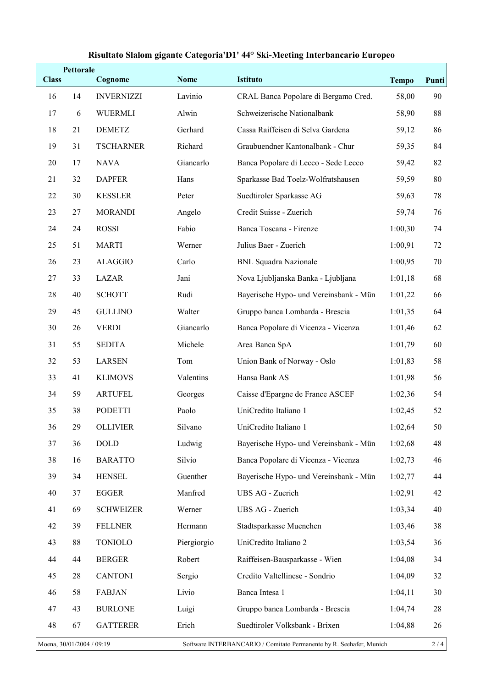|                                                                                                  | Pettorale |                   |             |                                        |              |       |
|--------------------------------------------------------------------------------------------------|-----------|-------------------|-------------|----------------------------------------|--------------|-------|
| <b>Class</b>                                                                                     |           | Cognome           | <b>Nome</b> | <b>Istituto</b>                        | <b>Tempo</b> | Punti |
| 16                                                                                               | 14        | <b>INVERNIZZI</b> | Lavinio     | CRAL Banca Popolare di Bergamo Cred.   | 58,00        | 90    |
| 17                                                                                               | 6         | <b>WUERMLI</b>    | Alwin       | Schweizerische Nationalbank            | 58,90        | 88    |
| 18                                                                                               | 21        | <b>DEMETZ</b>     | Gerhard     | Cassa Raiffeisen di Selva Gardena      | 59,12        | 86    |
| 19                                                                                               | 31        | <b>TSCHARNER</b>  | Richard     | Graubuendner Kantonalbank - Chur       | 59,35        | 84    |
| 20                                                                                               | 17        | <b>NAVA</b>       | Giancarlo   | Banca Popolare di Lecco - Sede Lecco   | 59,42        | 82    |
| 21                                                                                               | 32        | <b>DAPFER</b>     | Hans        | Sparkasse Bad Toelz-Wolfratshausen     | 59,59        | 80    |
| 22                                                                                               | 30        | <b>KESSLER</b>    | Peter       | Suedtiroler Sparkasse AG               | 59,63        | 78    |
| 23                                                                                               | 27        | <b>MORANDI</b>    | Angelo      | Credit Suisse - Zuerich                | 59,74        | 76    |
| 24                                                                                               | 24        | <b>ROSSI</b>      | Fabio       | Banca Toscana - Firenze                | 1:00,30      | 74    |
| 25                                                                                               | 51        | <b>MARTI</b>      | Werner      | Julius Baer - Zuerich                  | 1:00,91      | 72    |
| 26                                                                                               | 23        | <b>ALAGGIO</b>    | Carlo       | <b>BNL Squadra Nazionale</b>           | 1:00,95      | 70    |
| 27                                                                                               | 33        | <b>LAZAR</b>      | Jani        | Nova Ljubljanska Banka - Ljubljana     | 1:01,18      | 68    |
| 28                                                                                               | 40        | <b>SCHOTT</b>     | Rudi        | Bayerische Hypo- und Vereinsbank - Mün | 1:01,22      | 66    |
| 29                                                                                               | 45        | <b>GULLINO</b>    | Walter      | Gruppo banca Lombarda - Brescia        | 1:01,35      | 64    |
| 30                                                                                               | 26        | <b>VERDI</b>      | Giancarlo   | Banca Popolare di Vicenza - Vicenza    | 1:01,46      | 62    |
| 31                                                                                               | 55        | <b>SEDITA</b>     | Michele     | Area Banca SpA                         | 1:01,79      | 60    |
| 32                                                                                               | 53        | <b>LARSEN</b>     | Tom         | Union Bank of Norway - Oslo            | 1:01,83      | 58    |
| 33                                                                                               | 41        | <b>KLIMOVS</b>    | Valentins   | Hansa Bank AS                          | 1:01,98      | 56    |
| 34                                                                                               | 59        | <b>ARTUFEL</b>    | Georges     | Caisse d'Epargne de France ASCEF       | 1:02,36      | 54    |
| 35                                                                                               | 38        | <b>PODETTI</b>    | Paolo       | UniCredito Italiano 1                  | 1:02,45      | 52    |
| 36                                                                                               | 29        | <b>OLLIVIER</b>   | Silvano     | UniCredito Italiano 1                  | 1:02,64      | 50    |
| 37                                                                                               | 36        | <b>DOLD</b>       | Ludwig      | Bayerische Hypo- und Vereinsbank - Mün | 1:02,68      | 48    |
| 38                                                                                               | 16        | <b>BARATTO</b>    | Silvio      | Banca Popolare di Vicenza - Vicenza    | 1:02,73      | 46    |
| 39                                                                                               | 34        | <b>HENSEL</b>     | Guenther    | Bayerische Hypo- und Vereinsbank - Mün | 1:02,77      | 44    |
| 40                                                                                               | 37        | EGGER             | Manfred     | UBS AG - Zuerich                       | 1:02,91      | 42    |
| 41                                                                                               | 69        | <b>SCHWEIZER</b>  | Werner      | UBS AG - Zuerich                       | 1:03,34      | 40    |
| 42                                                                                               | 39        | <b>FELLNER</b>    | Hermann     | Stadtsparkasse Muenchen                | 1:03,46      | 38    |
| 43                                                                                               | 88        | <b>TONIOLO</b>    | Piergiorgio | UniCredito Italiano 2                  | 1:03,54      | 36    |
| 44                                                                                               | 44        | <b>BERGER</b>     | Robert      | Raiffeisen-Bausparkasse - Wien         | 1:04,08      | 34    |
| 45                                                                                               | 28        | <b>CANTONI</b>    | Sergio      | Credito Valtellinese - Sondrio         | 1:04,09      | 32    |
| 46                                                                                               | 58        | <b>FABJAN</b>     | Livio       | Banca Intesa 1                         | 1:04,11      | 30    |
| 47                                                                                               | 43        | <b>BURLONE</b>    | Luigi       | Gruppo banca Lombarda - Brescia        | 1:04,74      | 28    |
| 48                                                                                               | 67        | <b>GATTERER</b>   | Erich       | Suedtiroler Volksbank - Brixen         | 1:04,88      | 26    |
| Moena, 30/01/2004 / 09:19<br>Software INTERBANCARIO / Comitato Permanente by R. Seehafer, Munich |           |                   |             | 2/4                                    |              |       |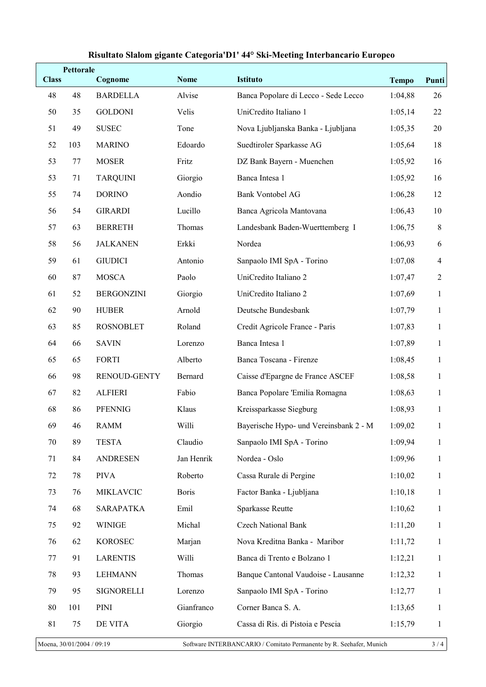| <b>Class</b> | <b>Pettorale</b> | Cognome             | <b>Nome</b>  | <b>Istituto</b>                        | <b>Tempo</b> | Punti          |
|--------------|------------------|---------------------|--------------|----------------------------------------|--------------|----------------|
| 48           | 48               | <b>BARDELLA</b>     | Alvise       | Banca Popolare di Lecco - Sede Lecco   | 1:04,88      | 26             |
| 50           | 35               | <b>GOLDONI</b>      | Velis        | UniCredito Italiano 1                  | 1:05,14      | 22             |
| 51           | 49               | <b>SUSEC</b>        | Tone         | Nova Ljubljanska Banka - Ljubljana     | 1:05,35      | 20             |
| 52           | 103              | <b>MARINO</b>       | Edoardo      | Suedtiroler Sparkasse AG               | 1:05,64      | 18             |
| 53           | 77               | <b>MOSER</b>        | Fritz        | DZ Bank Bayern - Muenchen              | 1:05,92      | 16             |
| 53           | 71               | <b>TARQUINI</b>     | Giorgio      | Banca Intesa 1                         | 1:05,92      | 16             |
| 55           | 74               | <b>DORINO</b>       | Aondio       | <b>Bank Vontobel AG</b>                | 1:06,28      | 12             |
| 56           | 54               | <b>GIRARDI</b>      | Lucillo      | Banca Agricola Mantovana               | 1:06,43      | 10             |
| 57           | 63               | <b>BERRETH</b>      | Thomas       | Landesbank Baden-Wuerttemberg I        | 1:06,75      | $\,8\,$        |
| 58           | 56               | <b>JALKANEN</b>     | Erkki        | Nordea                                 | 1:06,93      | 6              |
| 59           | 61               | <b>GIUDICI</b>      | Antonio      | Sanpaolo IMI SpA - Torino              | 1:07,08      | $\overline{4}$ |
| 60           | 87               | <b>MOSCA</b>        | Paolo        | UniCredito Italiano 2                  | 1:07,47      | $\overline{2}$ |
| 61           | 52               | <b>BERGONZINI</b>   | Giorgio      | UniCredito Italiano 2                  | 1:07,69      | $\mathbf{1}$   |
| 62           | 90               | <b>HUBER</b>        | Arnold       | Deutsche Bundesbank                    | 1:07,79      | $\mathbf{1}$   |
| 63           | 85               | <b>ROSNOBLET</b>    | Roland       | Credit Agricole France - Paris         | 1:07,83      | $\mathbf{1}$   |
| 64           | 66               | <b>SAVIN</b>        | Lorenzo      | Banca Intesa 1                         | 1:07,89      | $\mathbf{1}$   |
| 65           | 65               | <b>FORTI</b>        | Alberto      | Banca Toscana - Firenze                | 1:08,45      | $\mathbf{1}$   |
| 66           | 98               | <b>RENOUD-GENTY</b> | Bernard      | Caisse d'Epargne de France ASCEF       | 1:08,58      | $\mathbf{1}$   |
| 67           | 82               | <b>ALFIERI</b>      | Fabio        | Banca Popolare 'Emilia Romagna         | 1:08,63      | $\mathbf{1}$   |
| 68           | 86               | PFENNIG             | Klaus        | Kreissparkasse Siegburg                | 1:08,93      | $\mathbf{1}$   |
| 69           | 46               | RAMM                | Willi        | Bayerische Hypo- und Vereinsbank 2 - M | 1:09,02      | 1              |
| 70           | 89               | <b>TESTA</b>        | Claudio      | Sanpaolo IMI SpA - Torino              | 1:09,94      | $\mathbf{1}$   |
| 71           | 84               | <b>ANDRESEN</b>     | Jan Henrik   | Nordea - Oslo                          | 1:09,96      | $\mathbf{1}$   |
| 72           | 78               | <b>PIVA</b>         | Roberto      | Cassa Rurale di Pergine                | 1:10,02      | $\mathbf{1}$   |
| 73           | 76               | MIKLAVCIC           | <b>Boris</b> | Factor Banka - Ljubljana               | 1:10,18      | $\mathbf{1}$   |
| 74           | 68               | <b>SARAPATKA</b>    | Emil         | Sparkasse Reutte                       | 1:10,62      | $\mathbf{1}$   |
| 75           | 92               | <b>WINIGE</b>       | Michal       | Czech National Bank                    | 1:11,20      | $\mathbf{1}$   |
| 76           | 62               | <b>KOROSEC</b>      | Marjan       | Nova Kreditna Banka - Maribor          | 1:11,72      | $\mathbf{1}$   |
| 77           | 91               | <b>LARENTIS</b>     | Willi        | Banca di Trento e Bolzano 1            | 1:12,21      | $\mathbf{1}$   |
| 78           | 93               | <b>LEHMANN</b>      | Thomas       | Banque Cantonal Vaudoise - Lausanne    | 1:12,32      | $\mathbf{1}$   |
| 79           | 95               | SIGNORELLI          | Lorenzo      | Sanpaolo IMI SpA - Torino              | 1:12,77      | 1              |
| 80           | 101              | PINI                | Gianfranco   | Corner Banca S. A.                     | 1:13,65      | $\mathbf{1}$   |
| 81           | 75               | DE VITA             | Giorgio      | Cassa di Ris. di Pistoia e Pescia      | 1:15,79      | 1              |
|              |                  |                     |              |                                        |              |                |